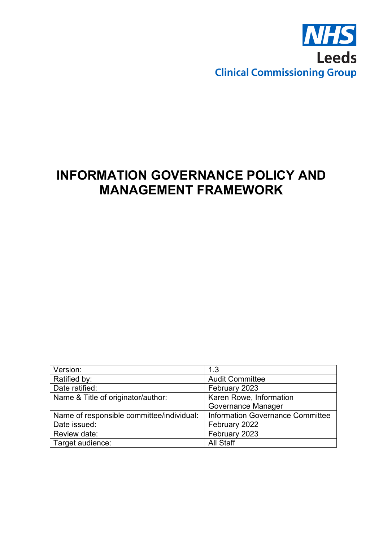

# **INFORMATION GOVERNANCE POLICY AND MANAGEMENT FRAMEWORK**

| Version:                                  | 1.3                              |
|-------------------------------------------|----------------------------------|
| Ratified by:                              | <b>Audit Committee</b>           |
| Date ratified:                            | February 2023                    |
| Name & Title of originator/author:        | Karen Rowe, Information          |
|                                           | Governance Manager               |
| Name of responsible committee/individual: | Information Governance Committee |
| Date issued:                              | February 2022                    |
| Review date:                              | February 2023                    |
| Target audience:                          | <b>All Staff</b>                 |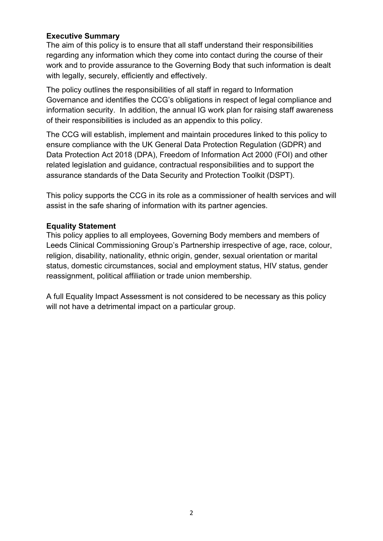## **Executive Summary**

The aim of this policy is to ensure that all staff understand their responsibilities regarding any information which they come into contact during the course of their work and to provide assurance to the Governing Body that such information is dealt with legally, securely, efficiently and effectively.

The policy outlines the responsibilities of all staff in regard to Information Governance and identifies the CCG's obligations in respect of legal compliance and information security. In addition, the annual IG work plan for raising staff awareness of their responsibilities is included as an appendix to this policy.

The CCG will establish, implement and maintain procedures linked to this policy to ensure compliance with the UK General Data Protection Regulation (GDPR) and Data Protection Act 2018 (DPA), Freedom of Information Act 2000 (FOI) and other related legislation and guidance, contractual responsibilities and to support the assurance standards of the Data Security and Protection Toolkit (DSPT).

This policy supports the CCG in its role as a commissioner of health services and will assist in the safe sharing of information with its partner agencies.

### **Equality Statement**

This policy applies to all employees, Governing Body members and members of Leeds Clinical Commissioning Group's Partnership irrespective of age, race, colour, religion, disability, nationality, ethnic origin, gender, sexual orientation or marital status, domestic circumstances, social and employment status, HIV status, gender reassignment, political affiliation or trade union membership.

A full Equality Impact Assessment is not considered to be necessary as this policy will not have a detrimental impact on a particular group.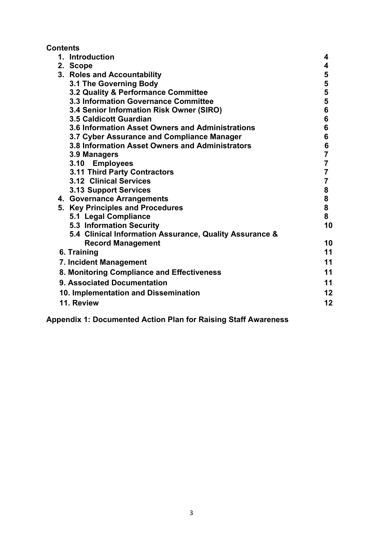# **Contents**

| 1. Introduction                                         | 4                       |
|---------------------------------------------------------|-------------------------|
| 2. Scope                                                | 4                       |
| 3. Roles and Accountability                             | 5                       |
| 3.1 The Governing Body                                  | 5                       |
| 3.2 Quality & Performance Committee                     | 5                       |
| 3.3 Information Governance Committee                    | 5                       |
| 3.4 Senior Information Risk Owner (SIRO)                | 6                       |
| <b>3.5 Caldicott Guardian</b>                           | 6                       |
| 3.6 Information Asset Owners and Administrations        | 6                       |
| 3.7 Cyber Assurance and Compliance Manager              | 6                       |
| 3.8 Information Asset Owners and Administrators         | 6                       |
| 3.9 Managers                                            | $\overline{7}$          |
| 3.10 Employees                                          | $\overline{\mathbf{7}}$ |
| <b>3.11 Third Party Contractors</b>                     | $\overline{7}$          |
| 3.12 Clinical Services                                  | $\overline{\mathbf{7}}$ |
| <b>3.13 Support Services</b>                            | 8                       |
| 4. Governance Arrangements                              | 8                       |
| 5. Key Principles and Procedures                        | 8                       |
| 5.1 Legal Compliance                                    | 8                       |
| <b>5.3 Information Security</b>                         | 10                      |
| 5.4 Clinical Information Assurance, Quality Assurance & |                         |
| <b>Record Management</b>                                | 10                      |
| 6. Training                                             | 11                      |
| 7. Incident Management                                  | 11                      |
| 8. Monitoring Compliance and Effectiveness              | 11                      |
| 9. Associated Documentation                             | 11                      |
| 10. Implementation and Dissemination                    | 12                      |
| 11. Review                                              | 12                      |

**Appendix 1: Documented Action Plan for Raising Staff Awareness**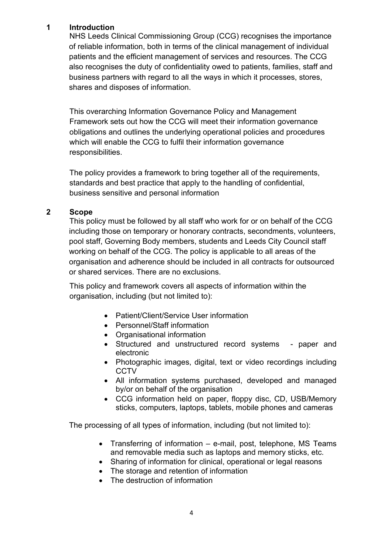## **1 Introduction**

NHS Leeds Clinical Commissioning Group (CCG) recognises the importance of reliable information, both in terms of the clinical management of individual patients and the efficient management of services and resources. The CCG also recognises the duty of confidentiality owed to patients, families, staff and business partners with regard to all the ways in which it processes, stores, shares and disposes of information.

This overarching Information Governance Policy and Management Framework sets out how the CCG will meet their information governance obligations and outlines the underlying operational policies and procedures which will enable the CCG to fulfil their information governance responsibilities.

The policy provides a framework to bring together all of the requirements, standards and best practice that apply to the handling of confidential, business sensitive and personal information

### **2 Scope**

This policy must be followed by all staff who work for or on behalf of the CCG including those on temporary or honorary contracts, secondments, volunteers, pool staff, Governing Body members, students and Leeds City Council staff working on behalf of the CCG. The policy is applicable to all areas of the organisation and adherence should be included in all contracts for outsourced or shared services. There are no exclusions.

This policy and framework covers all aspects of information within the organisation, including (but not limited to):

- Patient/Client/Service User information
- Personnel/Staff information
- Organisational information
- Structured and unstructured record systems paper and electronic
- Photographic images, digital, text or video recordings including **CCTV**
- All information systems purchased, developed and managed by/or on behalf of the organisation
- CCG information held on paper, floppy disc, CD, USB/Memory sticks, computers, laptops, tablets, mobile phones and cameras

The processing of all types of information, including (but not limited to):

- Transferring of information e-mail, post, telephone, MS Teams and removable media such as laptops and memory sticks, etc.
- Sharing of information for clinical, operational or legal reasons
- The storage and retention of information
- The destruction of information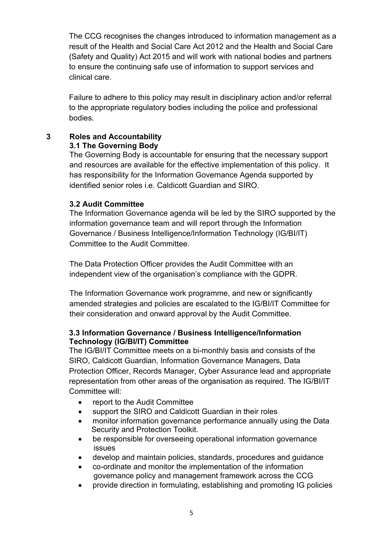The CCG recognises the changes introduced to information management as a result of the Health and Social Care Act 2012 and the Health and Social Care (Safety and Quality) Act 2015 and will work with national bodies and partners to ensure the continuing safe use of information to support services and clinical care.

Failure to adhere to this policy may result in disciplinary action and/or referral to the appropriate regulatory bodies including the police and professional bodies.

#### **3 Roles and Accountability 3.1 The Governing Body**

The Governing Body is accountable for ensuring that the necessary support and resources are available for the effective implementation of this policy. It has responsibility for the Information Governance Agenda supported by identified senior roles i.e. Caldicott Guardian and SIRO.

## **3.2 Audit Committee**

The Information Governance agenda will be led by the SIRO supported by the information governance team and will report through the Information Governance / Business Intelligence/Information Technology (IG/BI/IT) Committee to the Audit Committee.

The Data Protection Officer provides the Audit Committee with an independent view of the organisation's compliance with the GDPR.

The Information Governance work programme, and new or significantly amended strategies and policies are escalated to the IG/BI/IT Committee for their consideration and onward approval by the Audit Committee.

### **3.3 Information Governance / Business Intelligence/Information Technology (IG/BI/IT) Committee**

The IG/BI/IT Committee meets on a bi-monthly basis and consists of the SIRO, Caldicott Guardian, Information Governance Managers, Data Protection Officer, Records Manager, Cyber Assurance lead and appropriate representation from other areas of the organisation as required. The IG/BI/IT Committee will:

- report to the Audit Committee
- support the SIRO and Caldicott Guardian in their roles
- monitor information governance performance annually using the Data Security and Protection Toolkit.
- be responsible for overseeing operational information governance issues
- develop and maintain policies, standards, procedures and guidance
- co-ordinate and monitor the implementation of the information governance policy and management framework across the CCG
- provide direction in formulating, establishing and promoting IG policies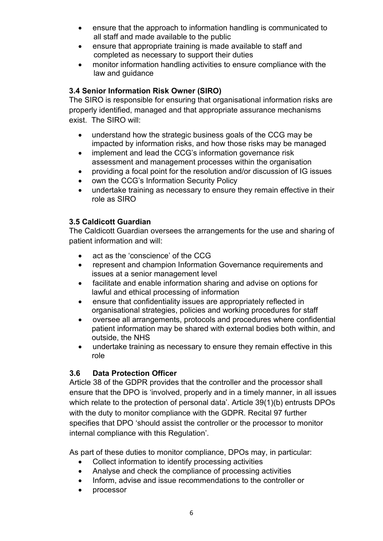- ensure that the approach to information handling is communicated to all staff and made available to the public
- ensure that appropriate training is made available to staff and completed as necessary to support their duties
- monitor information handling activities to ensure compliance with the law and guidance

## **3.4 Senior Information Risk Owner (SIRO)**

The SIRO is responsible for ensuring that organisational information risks are properly identified, managed and that appropriate assurance mechanisms exist. The SIRO will:

- understand how the strategic business goals of the CCG may be impacted by information risks, and how those risks may be managed
- implement and lead the CCG's information governance risk assessment and management processes within the organisation
- providing a focal point for the resolution and/or discussion of IG issues
- own the CCG's Information Security Policy
- undertake training as necessary to ensure they remain effective in their role as SIRO

## **3.5 Caldicott Guardian**

The Caldicott Guardian oversees the arrangements for the use and sharing of patient information and will:

- act as the 'conscience' of the CCG
- represent and champion Information Governance requirements and issues at a senior management level
- facilitate and enable information sharing and advise on options for lawful and ethical processing of information
- ensure that confidentiality issues are appropriately reflected in organisational strategies, policies and working procedures for staff
- oversee all arrangements, protocols and procedures where confidential patient information may be shared with external bodies both within, and outside, the NHS
- undertake training as necessary to ensure they remain effective in this role

## **3.6 Data Protection Officer**

Article 38 of the GDPR provides that the controller and the processor shall ensure that the DPO is 'involved, properly and in a timely manner, in all issues which relate to the protection of personal data'. Article 39(1)(b) entrusts DPOs with the duty to monitor compliance with the GDPR. Recital 97 further specifies that DPO 'should assist the controller or the processor to monitor internal compliance with this Regulation'.

As part of these duties to monitor compliance, DPOs may, in particular:

- Collect information to identify processing activities
- Analyse and check the compliance of processing activities
- Inform, advise and issue recommendations to the controller or
- processor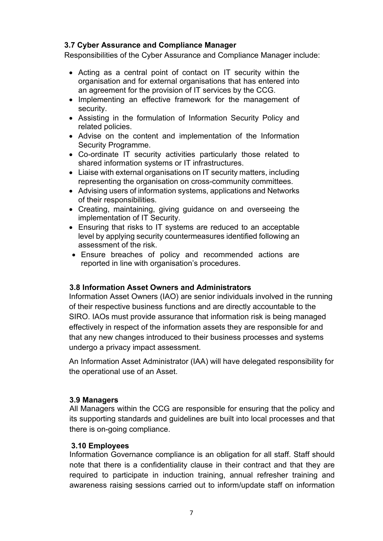## **3.7 Cyber Assurance and Compliance Manager**

Responsibilities of the Cyber Assurance and Compliance Manager include:

- Acting as a central point of contact on IT security within the organisation and for external organisations that has entered into an agreement for the provision of IT services by the CCG.
- Implementing an effective framework for the management of security.
- Assisting in the formulation of Information Security Policy and related policies.
- Advise on the content and implementation of the Information Security Programme.
- Co-ordinate IT security activities particularly those related to shared information systems or IT infrastructures.
- Liaise with external organisations on IT security matters, including representing the organisation on cross-community committees.
- Advising users of information systems, applications and Networks of their responsibilities.
- Creating, maintaining, giving guidance on and overseeing the implementation of IT Security.
- Ensuring that risks to IT systems are reduced to an acceptable level by applying security countermeasures identified following an assessment of the risk.
- Ensure breaches of policy and recommended actions are reported in line with organisation's procedures.

#### **3.8 Information Asset Owners and Administrators**

Information Asset Owners (IAO) are senior individuals involved in the running of their respective business functions and are directly accountable to the SIRO. IAOs must provide assurance that information risk is being managed effectively in respect of the information assets they are responsible for and that any new changes introduced to their business processes and systems undergo a privacy impact assessment.

An Information Asset Administrator (IAA) will have delegated responsibility for the operational use of an Asset.

#### **3.9 Managers**

All Managers within the CCG are responsible for ensuring that the policy and its supporting standards and guidelines are built into local processes and that there is on-going compliance.

#### **3.10 Employees**

Information Governance compliance is an obligation for all staff. Staff should note that there is a confidentiality clause in their contract and that they are required to participate in induction training, annual refresher training and awareness raising sessions carried out to inform/update staff on information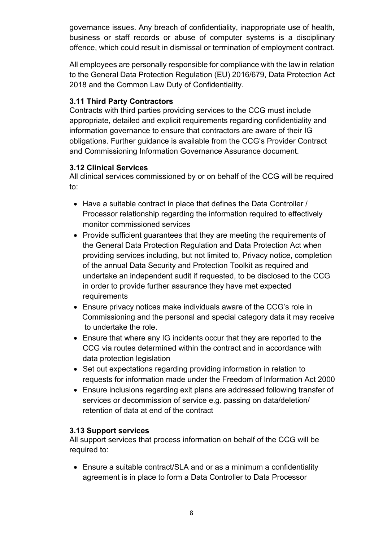governance issues. Any breach of confidentiality, inappropriate use of health, business or staff records or abuse of computer systems is a disciplinary offence, which could result in dismissal or termination of employment contract.

All employees are personally responsible for compliance with the law in relation to the General Data Protection Regulation (EU) 2016/679, Data Protection Act 2018 and the Common Law Duty of Confidentiality.

## **3.11 Third Party Contractors**

Contracts with third parties providing services to the CCG must include appropriate, detailed and explicit requirements regarding confidentiality and information governance to ensure that contractors are aware of their IG obligations. Further guidance is available from the CCG's Provider Contract and Commissioning Information Governance Assurance document.

## **3.12 Clinical Services**

All clinical services commissioned by or on behalf of the CCG will be required to:

- Have a suitable contract in place that defines the Data Controller / Processor relationship regarding the information required to effectively monitor commissioned services
- Provide sufficient guarantees that they are meeting the requirements of the General Data Protection Regulation and Data Protection Act when providing services including, but not limited to, Privacy notice, completion of the annual Data Security and Protection Toolkit as required and undertake an independent audit if requested, to be disclosed to the CCG in order to provide further assurance they have met expected **requirements**
- Ensure privacy notices make individuals aware of the CCG's role in Commissioning and the personal and special category data it may receive to undertake the role.
- Ensure that where any IG incidents occur that they are reported to the CCG via routes determined within the contract and in accordance with data protection legislation
- Set out expectations regarding providing information in relation to requests for information made under the Freedom of Information Act 2000
- Ensure inclusions regarding exit plans are addressed following transfer of services or decommission of service e.g. passing on data/deletion/ retention of data at end of the contract

## **3.13 Support services**

All support services that process information on behalf of the CCG will be required to:

• Ensure a suitable contract/SLA and or as a minimum a confidentiality agreement is in place to form a Data Controller to Data Processor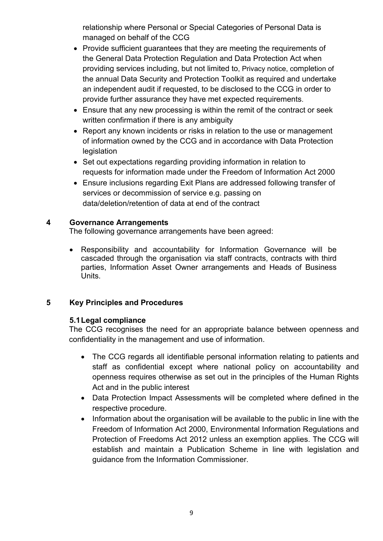relationship where Personal or Special Categories of Personal Data is managed on behalf of the CCG

- Provide sufficient guarantees that they are meeting the requirements of the General Data Protection Regulation and Data Protection Act when providing services including, but not limited to, Privacy notice, completion of the annual Data Security and Protection Toolkit as required and undertake an independent audit if requested, to be disclosed to the CCG in order to provide further assurance they have met expected requirements.
- Ensure that any new processing is within the remit of the contract or seek written confirmation if there is any ambiguity
- Report any known incidents or risks in relation to the use or management of information owned by the CCG and in accordance with Data Protection legislation
- Set out expectations regarding providing information in relation to requests for information made under the Freedom of Information Act 2000
- Ensure inclusions regarding Exit Plans are addressed following transfer of services or decommission of service e.g. passing on data/deletion/retention of data at end of the contract

## **4 Governance Arrangements**

The following governance arrangements have been agreed:

• Responsibility and accountability for Information Governance will be cascaded through the organisation via staff contracts, contracts with third parties, Information Asset Owner arrangements and Heads of Business Units.

## **5 Key Principles and Procedures**

#### **5.1Legal compliance**

The CCG recognises the need for an appropriate balance between openness and confidentiality in the management and use of information.

- The CCG regards all identifiable personal information relating to patients and staff as confidential except where national policy on accountability and openness requires otherwise as set out in the principles of the Human Rights Act and in the public interest
- Data Protection Impact Assessments will be completed where defined in the respective procedure.
- Information about the organisation will be available to the public in line with the Freedom of Information Act 2000, Environmental Information Regulations and Protection of Freedoms Act 2012 unless an exemption applies. The CCG will establish and maintain a Publication Scheme in line with legislation and guidance from the Information Commissioner.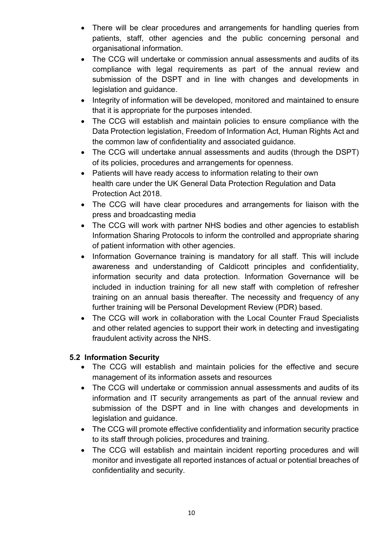- There will be clear procedures and arrangements for handling queries from patients, staff, other agencies and the public concerning personal and organisational information.
- The CCG will undertake or commission annual assessments and audits of its compliance with legal requirements as part of the annual review and submission of the DSPT and in line with changes and developments in legislation and guidance.
- Integrity of information will be developed, monitored and maintained to ensure that it is appropriate for the purposes intended.
- The CCG will establish and maintain policies to ensure compliance with the Data Protection legislation, Freedom of Information Act, Human Rights Act and the common law of confidentiality and associated guidance.
- The CCG will undertake annual assessments and audits (through the DSPT) of its policies, procedures and arrangements for openness.
- Patients will have ready access to information relating to their own health care under the UK General Data Protection Regulation and Data Protection Act 2018.
- The CCG will have clear procedures and arrangements for liaison with the press and broadcasting media
- The CCG will work with partner NHS bodies and other agencies to establish Information Sharing Protocols to inform the controlled and appropriate sharing of patient information with other agencies.
- Information Governance training is mandatory for all staff. This will include awareness and understanding of Caldicott principles and confidentiality, information security and data protection. Information Governance will be included in induction training for all new staff with completion of refresher training on an annual basis thereafter. The necessity and frequency of any further training will be Personal Development Review (PDR) based.
- The CCG will work in collaboration with the Local Counter Fraud Specialists and other related agencies to support their work in detecting and investigating fraudulent activity across the NHS.

## **5.2 Information Security**

- The CCG will establish and maintain policies for the effective and secure management of its information assets and resources
- The CCG will undertake or commission annual assessments and audits of its information and IT security arrangements as part of the annual review and submission of the DSPT and in line with changes and developments in legislation and guidance.
- The CCG will promote effective confidentiality and information security practice to its staff through policies, procedures and training.
- The CCG will establish and maintain incident reporting procedures and will monitor and investigate all reported instances of actual or potential breaches of confidentiality and security.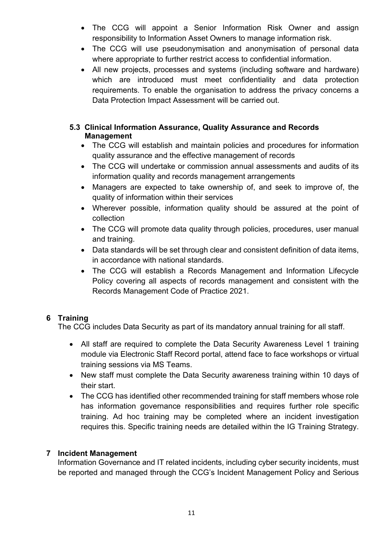- The CCG will appoint a Senior Information Risk Owner and assign responsibility to Information Asset Owners to manage information risk.
- The CCG will use pseudonymisation and anonymisation of personal data where appropriate to further restrict access to confidential information.
- All new projects, processes and systems (including software and hardware) which are introduced must meet confidentiality and data protection requirements. To enable the organisation to address the privacy concerns a Data Protection Impact Assessment will be carried out.

## **5.3 Clinical Information Assurance, Quality Assurance and Records Management**

- The CCG will establish and maintain policies and procedures for information quality assurance and the effective management of records
- The CCG will undertake or commission annual assessments and audits of its information quality and records management arrangements
- Managers are expected to take ownership of, and seek to improve of, the quality of information within their services
- Wherever possible, information quality should be assured at the point of collection
- The CCG will promote data quality through policies, procedures, user manual and training.
- Data standards will be set through clear and consistent definition of data items, in accordance with national standards.
- The CCG will establish a Records Management and Information Lifecycle Policy covering all aspects of records management and consistent with the Records Management Code of Practice 2021.

## **6 Training**

The CCG includes Data Security as part of its mandatory annual training for all staff.

- All staff are required to complete the Data Security Awareness Level 1 training module via Electronic Staff Record portal, attend face to face workshops or virtual training sessions via MS Teams.
- New staff must complete the Data Security awareness training within 10 days of their start.
- The CCG has identified other recommended training for staff members whose role has information governance responsibilities and requires further role specific training. Ad hoc training may be completed where an incident investigation requires this. Specific training needs are detailed within the IG Training Strategy.

## **7 Incident Management**

Information Governance and IT related incidents, including cyber security incidents, must be reported and managed through the CCG's Incident Management Policy and Serious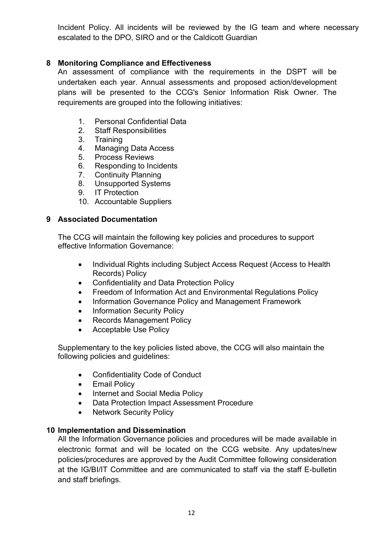Incident Policy. All incidents will be reviewed by the IG team and where necessary escalated to the DPO, SIRO and or the Caldicott Guardian

## **8 Monitoring Compliance and Effectiveness**

An assessment of compliance with the requirements in the DSPT will be undertaken each year. Annual assessments and proposed action/development plans will be presented to the CCG's Senior Information Risk Owner. The requirements are grouped into the following initiatives:

- 1. [Personal Confidential Data](https://www.dsptoolkit.nhs.uk/(X(1)S(cjydepewztaz1fuipv4ycffq))/Assessment#standard-1)
- 2. [Staff Responsibilities](https://www.dsptoolkit.nhs.uk/(X(1)S(cjydepewztaz1fuipv4ycffq))/Assessment#standard-2)
- 3. [Training](https://www.dsptoolkit.nhs.uk/(X(1)S(cjydepewztaz1fuipv4ycffq))/Assessment#standard-3)
- 4. [Managing Data Access](https://www.dsptoolkit.nhs.uk/(X(1)S(cjydepewztaz1fuipv4ycffq))/Assessment#standard-4)
- 5. [Process Reviews](https://www.dsptoolkit.nhs.uk/(X(1)S(cjydepewztaz1fuipv4ycffq))/Assessment#standard-5)
- 6. [Responding to Incidents](https://www.dsptoolkit.nhs.uk/(X(1)S(cjydepewztaz1fuipv4ycffq))/Assessment#standard-6)
- 7. [Continuity Planning](https://www.dsptoolkit.nhs.uk/(X(1)S(cjydepewztaz1fuipv4ycffq))/Assessment#standard-7)
- 8. [Unsupported Systems](https://www.dsptoolkit.nhs.uk/(X(1)S(cjydepewztaz1fuipv4ycffq))/Assessment#standard-8)
- 9. [IT Protection](https://www.dsptoolkit.nhs.uk/(X(1)S(cjydepewztaz1fuipv4ycffq))/Assessment#standard-9)
- 10. [Accountable Suppliers](https://www.dsptoolkit.nhs.uk/(X(1)S(cjydepewztaz1fuipv4ycffq))/Assessment#standard-10)

### **9 Associated Documentation**

The CCG will maintain the following key policies and procedures to support effective Information Governance:

- Individual Rights including Subject Access Request (Access to Health Records) Policy
- Confidentiality and Data Protection Policy
- Freedom of Information Act and Environmental Regulations Policy
- Information Governance Policy and Management Framework
- Information Security Policy
- Records Management Policy
- Acceptable Use Policy

Supplementary to the key policies listed above, the CCG will also maintain the following policies and guidelines:

- Confidentiality Code of Conduct
- Email Policy
- Internet and Social Media Policy
- Data Protection Impact Assessment Procedure
- Network Security Policy

#### **10 Implementation and Dissemination**

All the Information Governance policies and procedures will be made available in electronic format and will be located on the CCG website. Any updates/new policies/procedures are approved by the Audit Committee following consideration at the IG/BI/IT Committee and are communicated to staff via the staff E-bulletin and staff briefings.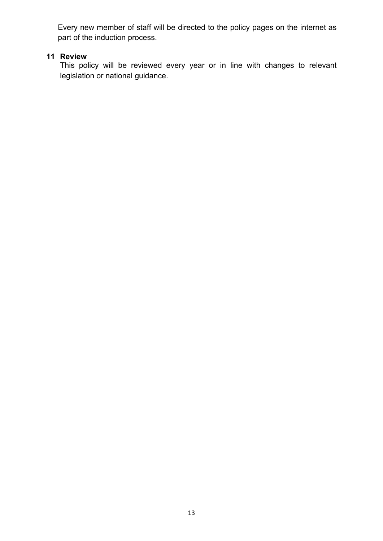Every new member of staff will be directed to the policy pages on the internet as part of the induction process.

# **11 Review**

This policy will be reviewed every year or in line with changes to relevant legislation or national guidance.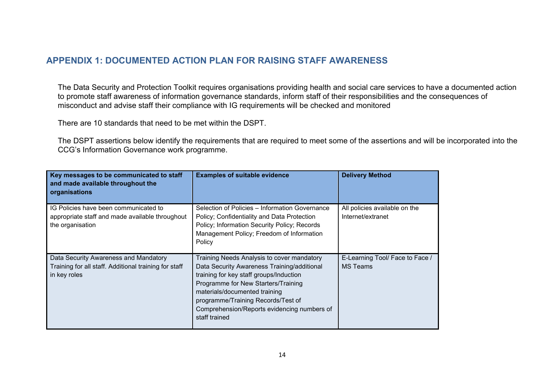## **APPENDIX 1: DOCUMENTED ACTION PLAN FOR RAISING STAFF AWARENESS**

The Data Security and Protection Toolkit requires organisations providing health and social care services to have a documented action to promote staff awareness of information governance standards, inform staff of their responsibilities and the consequences of misconduct and advise staff their compliance with IG requirements will be checked and monitored

There are 10 standards that need to be met within the DSPT.

The DSPT assertions below identify the requirements that are required to meet some of the assertions and will be incorporated into the CCG's Information Governance work programme.

| Key messages to be communicated to staff<br>and made available throughout the<br>organisations                 | <b>Examples of suitable evidence</b>                                                                                                                                                                                                                                                                               | <b>Delivery Method</b>                             |
|----------------------------------------------------------------------------------------------------------------|--------------------------------------------------------------------------------------------------------------------------------------------------------------------------------------------------------------------------------------------------------------------------------------------------------------------|----------------------------------------------------|
| IG Policies have been communicated to<br>appropriate staff and made available throughout<br>the organisation   | Selection of Policies - Information Governance<br>Policy; Confidentiality and Data Protection<br>Policy; Information Security Policy; Records<br>Management Policy; Freedom of Information<br>Policy                                                                                                               | All policies available on the<br>Internet/extranet |
| Data Security Awareness and Mandatory<br>Training for all staff. Additional training for staff<br>in key roles | Training Needs Analysis to cover mandatory<br>Data Security Awareness Training/additional<br>training for key staff groups/Induction<br>Programme for New Starters/Training<br>materials/documented training<br>programme/Training Records/Test of<br>Comprehension/Reports evidencing numbers of<br>staff trained | E-Learning Tool/ Face to Face /<br><b>MS Teams</b> |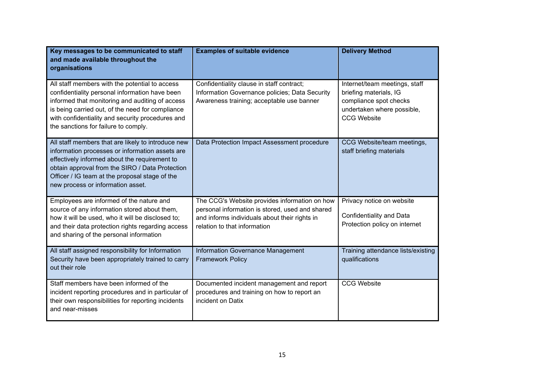| Key messages to be communicated to staff<br>and made available throughout the<br>organisations                                                                                                                                                                                                      | <b>Examples of suitable evidence</b>                                                                                                                                              | <b>Delivery Method</b>                                                                                                                |
|-----------------------------------------------------------------------------------------------------------------------------------------------------------------------------------------------------------------------------------------------------------------------------------------------------|-----------------------------------------------------------------------------------------------------------------------------------------------------------------------------------|---------------------------------------------------------------------------------------------------------------------------------------|
| All staff members with the potential to access<br>confidentiality personal information have been<br>informed that monitoring and auditing of access<br>is being carried out, of the need for compliance<br>with confidentiality and security procedures and<br>the sanctions for failure to comply. | Confidentiality clause in staff contract;<br>Information Governance policies; Data Security<br>Awareness training; acceptable use banner                                          | Internet/team meetings, staff<br>briefing materials, IG<br>compliance spot checks<br>undertaken where possible,<br><b>CCG Website</b> |
| All staff members that are likely to introduce new<br>information processes or information assets are<br>effectively informed about the requirement to<br>obtain approval from the SIRO / Data Protection<br>Officer / IG team at the proposal stage of the<br>new process or information asset.    | Data Protection Impact Assessment procedure                                                                                                                                       | CCG Website/team meetings,<br>staff briefing materials                                                                                |
| Employees are informed of the nature and<br>source of any information stored about them,<br>how it will be used, who it will be disclosed to;<br>and their data protection rights regarding access<br>and sharing of the personal information                                                       | The CCG's Website provides information on how<br>personal information is stored, used and shared<br>and informs individuals about their rights in<br>relation to that information | Privacy notice on website<br><b>Confidentiality and Data</b><br>Protection policy on internet                                         |
| All staff assigned responsibility for Information<br>Security have been appropriately trained to carry<br>out their role                                                                                                                                                                            | <b>Information Governance Management</b><br><b>Framework Policy</b>                                                                                                               | Training attendance lists/existing<br>qualifications                                                                                  |
| Staff members have been informed of the<br>incident reporting procedures and in particular of<br>their own responsibilities for reporting incidents<br>and near-misses                                                                                                                              | Documented incident management and report<br>procedures and training on how to report an<br>incident on Datix                                                                     | <b>CCG Website</b>                                                                                                                    |